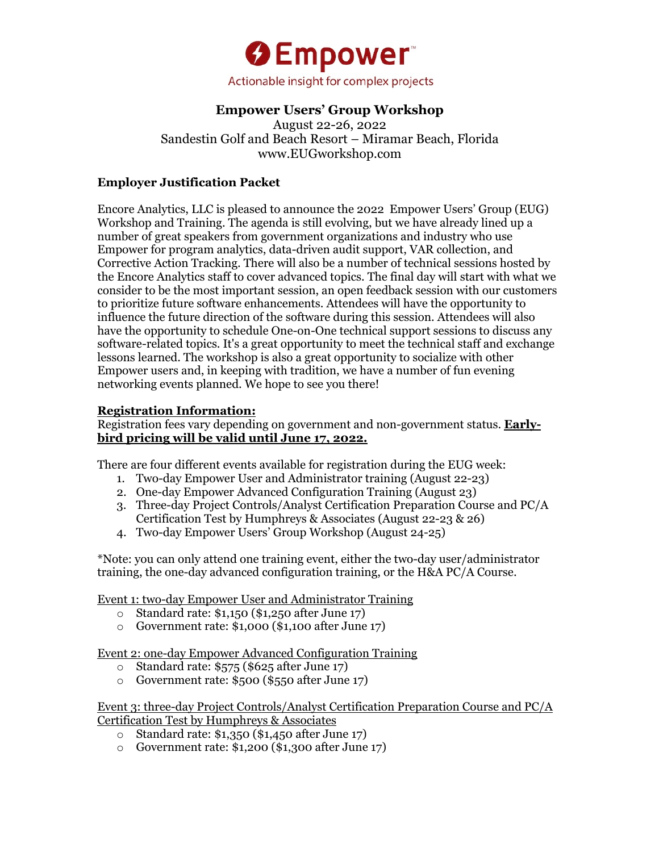

# **Empower Users' Group Workshop**

August 22-26, 2022 Sandestin Golf and Beach Resort – Miramar Beach, Florida www.EUGworkshop.com

## **Employer Justification Packet**

Encore Analytics, LLC is pleased to announce the 2022 Empower Users' Group (EUG) Workshop and Training. The agenda is still evolving, but we have already lined up a number of great speakers from government organizations and industry who use Empower for program analytics, data-driven audit support, VAR collection, and Corrective Action Tracking. There will also be a number of technical sessions hosted by the Encore Analytics staff to cover advanced topics. The final day will start with what we consider to be the most important session, an open feedback session with our customers to prioritize future software enhancements. Attendees will have the opportunity to influence the future direction of the software during this session. Attendees will also have the opportunity to schedule One-on-One technical support sessions to discuss any software-related topics. It's a great opportunity to meet the technical staff and exchange lessons learned. The workshop is also a great opportunity to socialize with other Empower users and, in keeping with tradition, we have a number of fun evening networking events planned. We hope to see you there!

#### **Registration Information:**

Registration fees vary depending on government and non-government status. **Earlybird pricing will be valid until June 17, 2022.**

There are four different events available for registration during the EUG week:

- 1. Two-day Empower User and Administrator training (August 22-23)
- 2. One-day Empower Advanced Configuration Training (August 23)
- 3. Three-day Project Controls/Analyst Certification Preparation Course and PC/A Certification Test by Humphreys & Associates (August 22-23 & 26)
- 4. Two-day Empower Users' Group Workshop (August 24-25)

\*Note: you can only attend one training event, either the two-day user/administrator training, the one-day advanced configuration training, or the H&A PC/A Course.

Event 1: two-day Empower User and Administrator Training

- o Standard rate: \$1,150 (\$1,250 after June 17)
- o Government rate: \$1,000 (\$1,100 after June 17)

Event 2: one-day Empower Advanced Configuration Training

- o Standard rate: \$575 (\$625 after June 17)
- o Government rate: \$500 (\$550 after June 17)

Event 3: three-day Project Controls/Analyst Certification Preparation Course and PC/A Certification Test by Humphreys & Associates

- o Standard rate: \$1,350 (\$1,450 after June 17)
- o Government rate: \$1,200 (\$1,300 after June 17)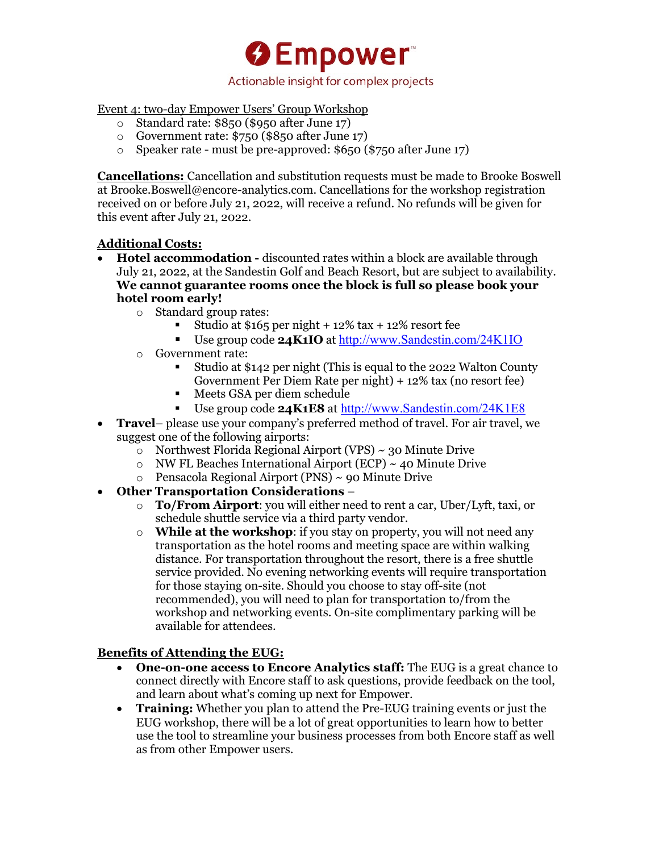**O**Empower Actionable insight for complex projects

Event 4: two-day Empower Users' Group Workshop

- o Standard rate: \$850 (\$950 after June 17)
- o Government rate: \$750 (\$850 after June 17)
- o Speaker rate must be pre-approved: \$650 (\$750 after June 17)

**Cancellations:** Cancellation and substitution requests must be made to Brooke Boswell at Brooke.Boswell@encore-analytics.com. Cancellations for the workshop registration received on or before July 21, 2022, will receive a refund. No refunds will be given for this event after July 21, 2022.

## **Additional Costs:**

- **Hotel accommodation -** discounted rates within a block are available through July 21, 2022, at the Sandestin Golf and Beach Resort, but are subject to availability. **We cannot guarantee rooms once the block is full so please book your hotel room early!**
	- o Standard group rates:
		- Studio at  $$165$  per night  $+ 12\%$  tax  $+ 12\%$  resort fee
		- § Use group code **24K1IO** at http://www.Sandestin.com/24K1IO
	- o Government rate:
		- § Studio at \$142 per night (This is equal to the 2022 Walton County Government Per Diem Rate per night) + 12% tax (no resort fee)
		- Meets GSA per diem schedule
		- Use group code **24K1E8** at http://www.Sandestin.com/24K1E8
- **Travel** please use your company's preferred method of travel. For air travel, we suggest one of the following airports:
	- $\circ$  Northwest Florida Regional Airport (VPS) ~ 30 Minute Drive
	- $\circ$  NW FL Beaches International Airport (ECP) ~ 40 Minute Drive
	- $\circ$  Pensacola Regional Airport (PNS) ~ 90 Minute Drive
- **Other Transportation Considerations** 
	- o **To/From Airport**: you will either need to rent a car, Uber/Lyft, taxi, or schedule shuttle service via a third party vendor.
	- o **While at the workshop**: if you stay on property, you will not need any transportation as the hotel rooms and meeting space are within walking distance. For transportation throughout the resort, there is a free shuttle service provided. No evening networking events will require transportation for those staying on-site. Should you choose to stay off-site (not recommended), you will need to plan for transportation to/from the workshop and networking events. On-site complimentary parking will be available for attendees.

## **Benefits of Attending the EUG:**

- **One-on-one access to Encore Analytics staff:** The EUG is a great chance to connect directly with Encore staff to ask questions, provide feedback on the tool, and learn about what's coming up next for Empower.
- **Training:** Whether you plan to attend the Pre-EUG training events or just the EUG workshop, there will be a lot of great opportunities to learn how to better use the tool to streamline your business processes from both Encore staff as well as from other Empower users.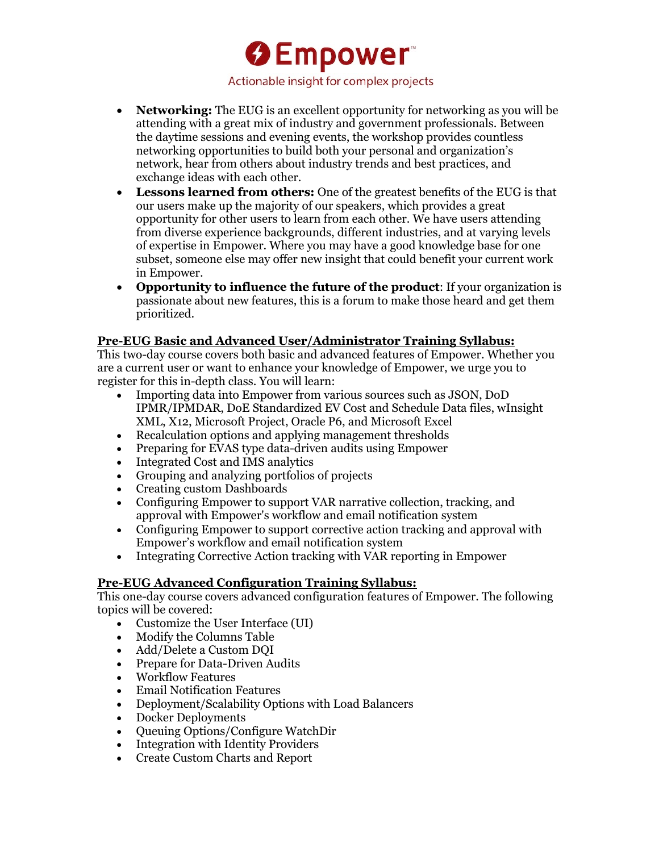**O**Empower Actionable insight for complex projects

- **Networking:** The EUG is an excellent opportunity for networking as you will be attending with a great mix of industry and government professionals. Between the daytime sessions and evening events, the workshop provides countless networking opportunities to build both your personal and organization's network, hear from others about industry trends and best practices, and exchange ideas with each other.
- **Lessons learned from others:** One of the greatest benefits of the EUG is that our users make up the majority of our speakers, which provides a great opportunity for other users to learn from each other. We have users attending from diverse experience backgrounds, different industries, and at varying levels of expertise in Empower. Where you may have a good knowledge base for one subset, someone else may offer new insight that could benefit your current work in Empower.
- **Opportunity to influence the future of the product**: If your organization is passionate about new features, this is a forum to make those heard and get them prioritized.

#### **Pre-EUG Basic and Advanced User/Administrator Training Syllabus:**

This two-day course covers both basic and advanced features of Empower. Whether you are a current user or want to enhance your knowledge of Empower, we urge you to register for this in-depth class. You will learn:

- Importing data into Empower from various sources such as JSON, DoD IPMR/IPMDAR, DoE Standardized EV Cost and Schedule Data files, wInsight XML, X12, Microsoft Project, Oracle P6, and Microsoft Excel
- Recalculation options and applying management thresholds
- Preparing for EVAS type data-driven audits using Empower
- Integrated Cost and IMS analytics
- Grouping and analyzing portfolios of projects
- Creating custom Dashboards
- Configuring Empower to support VAR narrative collection, tracking, and approval with Empower's workflow and email notification system
- Configuring Empower to support corrective action tracking and approval with Empower's workflow and email notification system
- Integrating Corrective Action tracking with VAR reporting in Empower

## **Pre-EUG Advanced Configuration Training Syllabus:**

This one-day course covers advanced configuration features of Empower. The following topics will be covered:

- Customize the User Interface (UI)
- Modify the Columns Table
- Add/Delete a Custom DQI
- Prepare for Data-Driven Audits
- Workflow Features
- Email Notification Features
- Deployment/Scalability Options with Load Balancers
- Docker Deployments
- Queuing Options/Configure WatchDir
- Integration with Identity Providers
- Create Custom Charts and Report